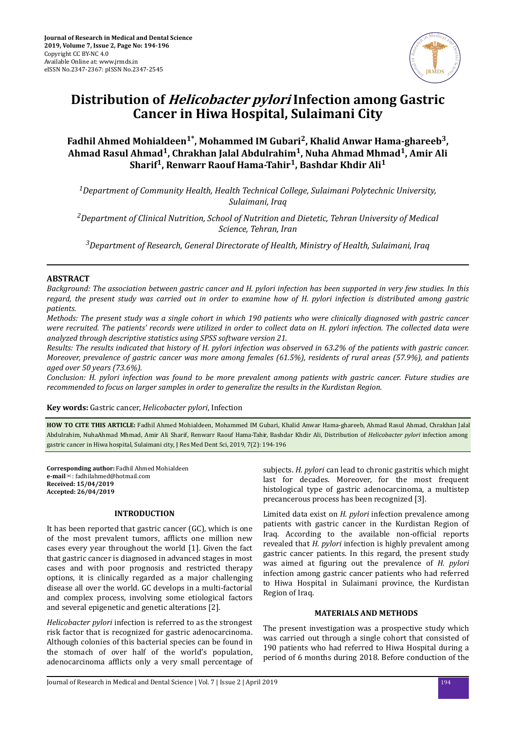

# **Distribution of Helicobacter pylori Infection among Gastric Cancer in Hiwa Hospital, Sulaimani City**

# **Fadhil Ahmed Mohialdeen1\*, Mohammed IM Gubari<sup>2</sup> , Khalid Anwar Hama-ghareeb<sup>3</sup> , Ahmad Rasul Ahmad<sup>1</sup> , Chrakhan Jalal Abdulrahim<sup>1</sup> , Nuha Ahmad Mhmad<sup>1</sup> , Amir Ali Sharif<sup>1</sup> , Renwarr Raouf Hama-Tahir<sup>1</sup> , Bashdar Khdir Ali<sup>1</sup>**

*<sup>1</sup>Department of Community Health, Health Technical College, Sulaimani Polytechnic University, Sulaimani, Iraq*

*<sup>2</sup>Department of Clinical Nutrition, School of Nutrition and Dietetic, Tehran University of Medical Science, Tehran, Iran*

*<sup>3</sup>Department of Research, General Directorate of Health, Ministry of Health, Sulaimani, Iraq*

# **ABSTRACT**

*Background: The association between gastric cancer and H. pylori infection has been supported in very few studies. In this regard, the present study was carried out in order to examine how of H. pylori infection is distributed among gastric patients.*

*Methods: The present study was a single cohort in which 190 patients who were clinically diagnosed with gastric cancer were recruited. The patients' records were utilized in order to collect data on H. pylori infection. The collected data were analyzed through descriptive statistics using SPSS software version 21.*

*Results: The results indicated that history of H. pylori infection was observed in 63.2% of the patients with gastric cancer. Moreover, prevalence of gastric cancer was more among females (61.5%), residents of rural areas (57.9%), and patients aged over 50 years (73.6%).*

*Conclusion: H. pylori infection was found to be more prevalent among patients with gastric cancer. Future studies are recommended to focus on larger samples in order to generalize the results in the Kurdistan Region.*

**Key words:** Gastric cancer, *Helicobacter pylori*, Infection

**HOW TO CITE THIS ARTICLE:** Fadhil Ahmed Mohialdeen, Mohammed IM Gubari, Khalid Anwar Hama-ghareeb, Ahmad Rasul Ahmad, Chrakhan Jalal Abdulrahim, NuhaAhmad Mhmad, Amir Ali Sharif, Renwarr Raouf Hama-Tahir, Bashdar Khdir Ali, Distribution of *Helicobacter pylori* infection among gastric cancer in Hiwa hospital, Sulaimani city, J Res Med Dent Sci, 2019, 7(2): 194-196

**Corresponding author:** Fadhil Ahmed Mohialdeen **e-mail**✉: fadhilahmed@hotmail.com **Received: 15/04/2019 Accepted: 26/04/2019**

# **INTRODUCTION**

It has been reported that gastric cancer (GC), which is one of the most prevalent tumors, afflicts one million new cases every year throughout the world [1]. Given the fact that gastric cancer is diagnosed in advanced stages in most cases and with poor prognosis and restricted therapy options, it is clinically regarded as a major challenging disease all over the world. GC develops in a multi-factorial and complex process, involving some etiological factors and several epigenetic and genetic alterations [2].

*Helicobacter pylori* infection is referred to as the strongest risk factor that is recognized for gastric adenocarcinoma. Although colonies of this bacterial species can be found in the stomach of over half of the world's population, adenocarcinoma afflicts only a very small percentage of

subjects. *H. pylori* can lead to chronic gastritis which might last for decades. Moreover, for the most frequent histological type of gastric adenocarcinoma, a multistep precancerous process has been recognized [3].

Limited data exist on *H. pylori* infection prevalence among patients with gastric cancer in the Kurdistan Region of Iraq. According to the available non-official reports revealed that *H. pylori* infection is highly prevalent among gastric cancer patients. In this regard, the present study was aimed at figuring out the prevalence of *H. pylori* infection among gastric cancer patients who had referred to Hiwa Hospital in Sulaimani province, the Kurdistan Region of Iraq.

# **MATERIALS AND METHODS**

The present investigation was a prospective study which was carried out through a single cohort that consisted of 190 patients who had referred to Hiwa Hospital during a period of 6 months during 2018. Before conduction of the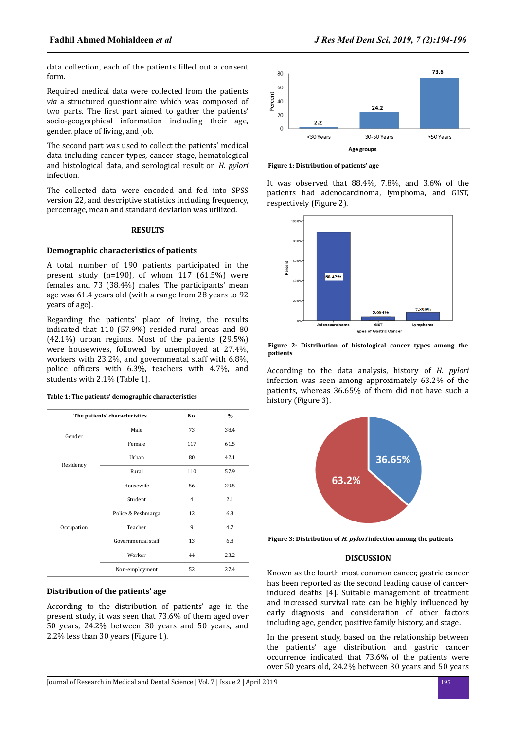data collection, each of the patients filled out a consent form.

Required medical data were collected from the patients *via* a structured questionnaire which was composed of two parts. The first part aimed to gather the patients' socio-geographical information including their age, gender, place of living, and job.

The second part was used to collect the patients' medical data including cancer types, cancer stage, hematological and histological data, and serological result on *H. pylori* infection.

The collected data were encoded and fed into SPSS version 22, and descriptive statistics including frequency, percentage, mean and standard deviation was utilized.

#### **RESULTS**

# **Demographic characteristics of patients**

A total number of 190 patients participated in the present study (n=190), of whom 117 (61.5%) were females and 73 (38.4%) males. The participants' mean age was 61.4 years old (with a range from 28 years to 92 years of age).

Regarding the patients' place of living, the results indicated that 110 (57.9%) resided rural areas and 80 (42.1%) urban regions. Most of the patients (29.5%) were housewives, followed by unemployed at 27.4%, workers with 23.2%, and governmental staff with 6.8%, police officers with 6.3%, teachers with 4.7%, and students with 2.1% (Table 1).

#### **Table 1: The patients' demographic characteristics**

| The patients' characteristics |                    | No. | $\frac{0}{0}$ |
|-------------------------------|--------------------|-----|---------------|
| Gender                        | Male               | 73  | 38.4          |
|                               | Female             | 117 | 61.5          |
| Residency                     | Urban              | 80  | 42.1          |
|                               | Rural              | 110 | 57.9          |
| Occupation                    | Housewife          | 56  | 29.5          |
|                               | Student            | 4   | 2.1           |
|                               | Police & Peshmarga | 12  | 6.3           |
|                               | Teacher            | 9   | 4.7           |
|                               | Governmental staff | 13  | 6.8           |
|                               | Worker             | 44  | 23.2          |
|                               | Non-employment     | 52  | 27.4          |

# **Distribution of the patients' age**

According to the distribution of patients' age in the present study, it was seen that 73.6% of them aged over 50 years, 24.2% between 30 years and 50 years, and 2.2% less than 30 years (Figure 1).



**Figure 1: Distribution of patients' age**

It was observed that 88.4%, 7.8%, and 3.6% of the patients had adenocarcinoma, lymphoma, and GIST, respectively (Figure 2).



**Figure 2: Distribution of histological cancer types among the patients**

According to the data analysis, history of *H. pylori* infection was seen among approximately 63.2% of the patients, whereas 36.65% of them did not have such a history (Figure 3).



**Figure 3: Distribution of H. pylori infection among the patients**

#### **DISCUSSION**

Known as the fourth most common cancer, gastric cancer has been reported as the second leading cause of cancerinduced deaths [4]. Suitable management of treatment and increased survival rate can be highly influenced by early diagnosis and consideration of other factors including age, gender, positive family history, and stage.

In the present study, based on the relationship between the patients' age distribution and gastric cancer occurrence indicated that 73.6% of the patients were over 50 years old, 24.2% between 30 years and 50 years